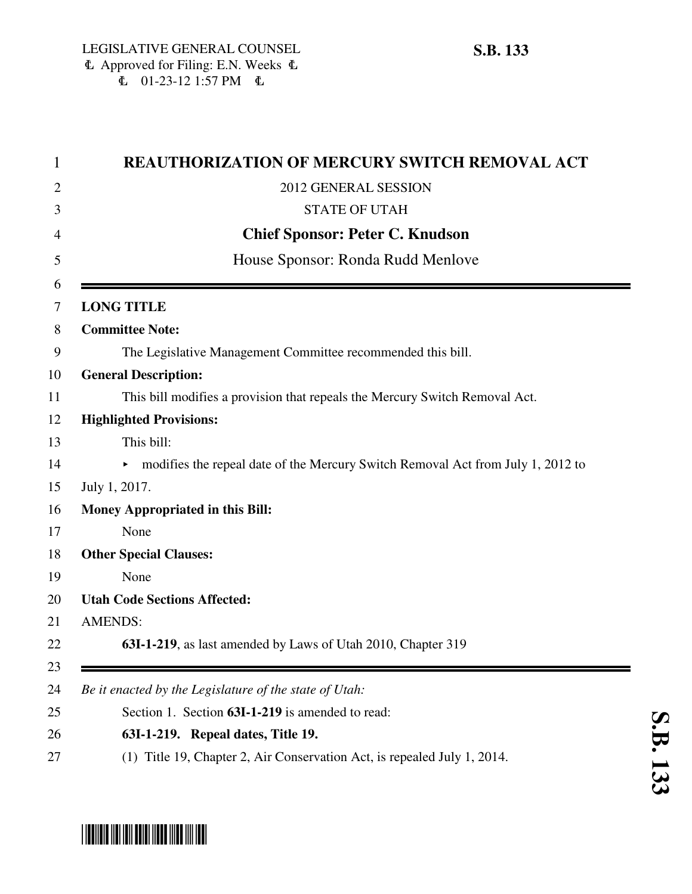| <b>REAUTHORIZATION OF MERCURY SWITCH REMOVAL ACT</b>                                  |
|---------------------------------------------------------------------------------------|
| 2012 GENERAL SESSION                                                                  |
| <b>STATE OF UTAH</b>                                                                  |
| <b>Chief Sponsor: Peter C. Knudson</b>                                                |
| House Sponsor: Ronda Rudd Menlove                                                     |
| <b>LONG TITLE</b>                                                                     |
| <b>Committee Note:</b>                                                                |
| The Legislative Management Committee recommended this bill.                           |
| <b>General Description:</b>                                                           |
| This bill modifies a provision that repeals the Mercury Switch Removal Act.           |
| <b>Highlighted Provisions:</b>                                                        |
| This bill:                                                                            |
| modifies the repeal date of the Mercury Switch Removal Act from July 1, 2012 to<br>▶. |
| July 1, 2017.                                                                         |
| <b>Money Appropriated in this Bill:</b>                                               |
| None                                                                                  |
| <b>Other Special Clauses:</b>                                                         |
| None                                                                                  |
| <b>Utah Code Sections Affected:</b>                                                   |
| <b>AMENDS:</b>                                                                        |
| 63I-1-219, as last amended by Laws of Utah 2010, Chapter 319                          |
| Be it enacted by the Legislature of the state of Utah:                                |
| Section 1. Section 63I-1-219 is amended to read:                                      |
| 63I-1-219. Repeal dates, Title 19.                                                    |
| (1) Title 19, Chapter 2, Air Conservation Act, is repealed July 1, 2014.              |

## \*SB0133\*